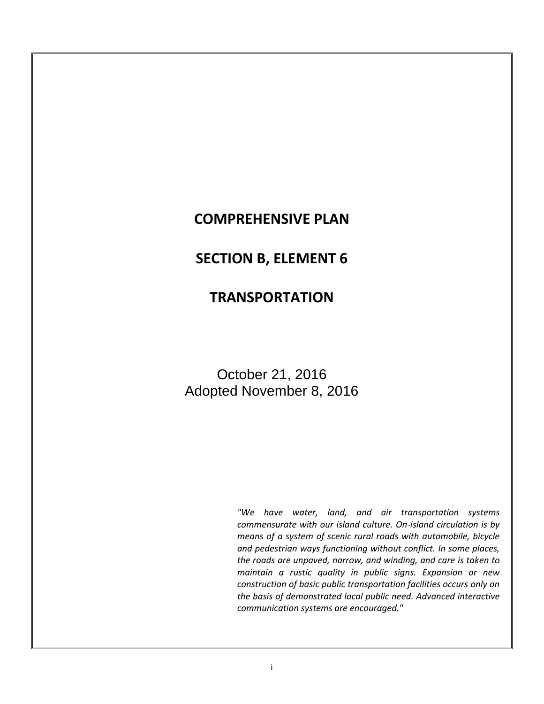# **COMPREHENSIVE PLAN**

# **SECTION B, ELEMENT 6**

# **TRANSPORTATION**

October 21, 2016 Adopted November 8, 2016

> *"We have water, land, and air transportation systems commensurate with our island culture. On-island circulation is by means of a system of scenic rural roads with automobile, bicycle and pedestrian ways functioning without conflict. In some places, the roads are unpaved, narrow, and winding, and care is taken to maintain a rustic quality in public signs. Expansion or new construction of basic public transportation facilities occurs only on the basis of demonstrated local public need. Advanced interactive communication systems are encouraged."*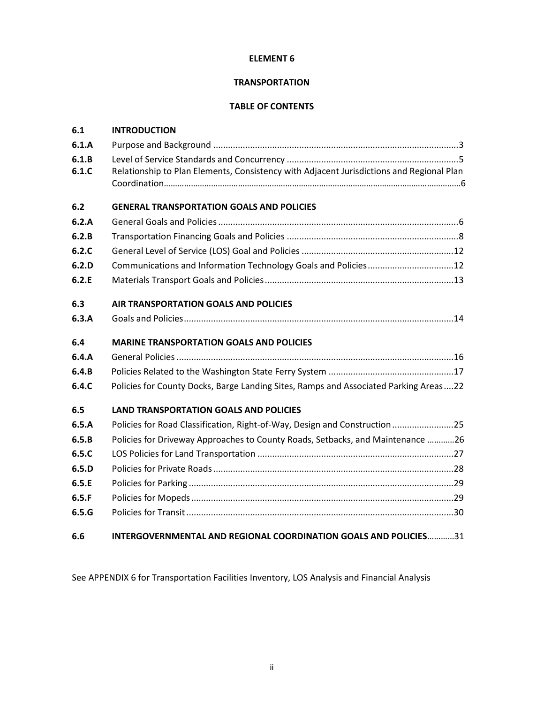# **ELEMENT 6**

# **TRANSPORTATION**

# **TABLE OF CONTENTS**

| 6.1   | <b>INTRODUCTION</b>                                                                      |
|-------|------------------------------------------------------------------------------------------|
| 6.1.A |                                                                                          |
| 6.1.B |                                                                                          |
| 6.1.C | Relationship to Plan Elements, Consistency with Adjacent Jurisdictions and Regional Plan |
| 6.2   | <b>GENERAL TRANSPORTATION GOALS AND POLICIES</b>                                         |
| 6.2.A |                                                                                          |
| 6.2.B |                                                                                          |
| 6.2.C |                                                                                          |
| 6.2.D | Communications and Information Technology Goals and Policies12                           |
| 6.2.E |                                                                                          |
| 6.3   | AIR TRANSPORTATION GOALS AND POLICIES                                                    |
| 6.3.A |                                                                                          |
| 6.4   | <b>MARINE TRANSPORTATION GOALS AND POLICIES</b>                                          |
| 6.4.A |                                                                                          |
| 6.4.B |                                                                                          |
| 6.4.C | Policies for County Docks, Barge Landing Sites, Ramps and Associated Parking Areas22     |
| 6.5   | <b>LAND TRANSPORTATION GOALS AND POLICIES</b>                                            |
| 6.5.A | Policies for Road Classification, Right-of-Way, Design and Construction25                |
| 6.5.B | Policies for Driveway Approaches to County Roads, Setbacks, and Maintenance 26           |
| 6.5.C |                                                                                          |
| 6.5.D |                                                                                          |
| 6.5.E |                                                                                          |
| 6.5.F |                                                                                          |
| 6.5.G |                                                                                          |
| 6.6   | INTERGOVERNMENTAL AND REGIONAL COORDINATION GOALS AND POLICIES31                         |

See APPENDIX 6 for Transportation Facilities Inventory, LOS Analysis and Financial Analysis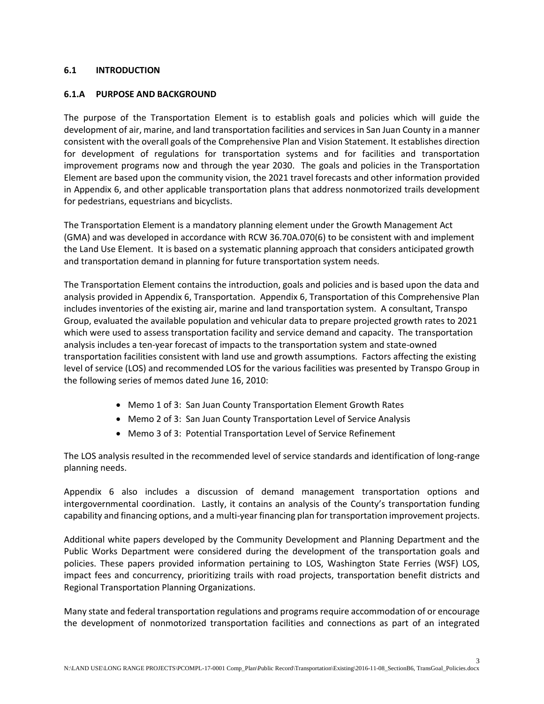### **6.1 INTRODUCTION**

#### **6.1.A PURPOSE AND BACKGROUND**

The purpose of the Transportation Element is to establish goals and policies which will guide the development of air, marine, and land transportation facilities and services in San Juan County in a manner consistent with the overall goals of the Comprehensive Plan and Vision Statement. It establishes direction for development of regulations for transportation systems and for facilities and transportation improvement programs now and through the year 2030. The goals and policies in the Transportation Element are based upon the community vision, the 2021 travel forecasts and other information provided in Appendix 6, and other applicable transportation plans that address nonmotorized trails development for pedestrians, equestrians and bicyclists.

The Transportation Element is a mandatory planning element under the Growth Management Act (GMA) and was developed in accordance with RCW 36.70A.070(6) to be consistent with and implement the Land Use Element. It is based on a systematic planning approach that considers anticipated growth and transportation demand in planning for future transportation system needs.

The Transportation Element contains the introduction, goals and policies and is based upon the data and analysis provided in Appendix 6, Transportation. Appendix 6, Transportation of this Comprehensive Plan includes inventories of the existing air, marine and land transportation system. A consultant, Transpo Group, evaluated the available population and vehicular data to prepare projected growth rates to 2021 which were used to assess transportation facility and service demand and capacity. The transportation analysis includes a ten-year forecast of impacts to the transportation system and state-owned transportation facilities consistent with land use and growth assumptions. Factors affecting the existing level of service (LOS) and recommended LOS for the various facilities was presented by Transpo Group in the following series of memos dated June 16, 2010:

- Memo 1 of 3: San Juan County Transportation Element Growth Rates
- Memo 2 of 3: San Juan County Transportation Level of Service Analysis
- Memo 3 of 3: Potential Transportation Level of Service Refinement

The LOS analysis resulted in the recommended level of service standards and identification of long-range planning needs.

Appendix 6 also includes a discussion of demand management transportation options and intergovernmental coordination. Lastly, it contains an analysis of the County's transportation funding capability and financing options, and a multi-year financing plan for transportation improvement projects.

Additional white papers developed by the Community Development and Planning Department and the Public Works Department were considered during the development of the transportation goals and policies. These papers provided information pertaining to LOS, Washington State Ferries (WSF) LOS, impact fees and concurrency, prioritizing trails with road projects, transportation benefit districts and Regional Transportation Planning Organizations.

Many state and federal transportation regulations and programs require accommodation of or encourage the development of nonmotorized transportation facilities and connections as part of an integrated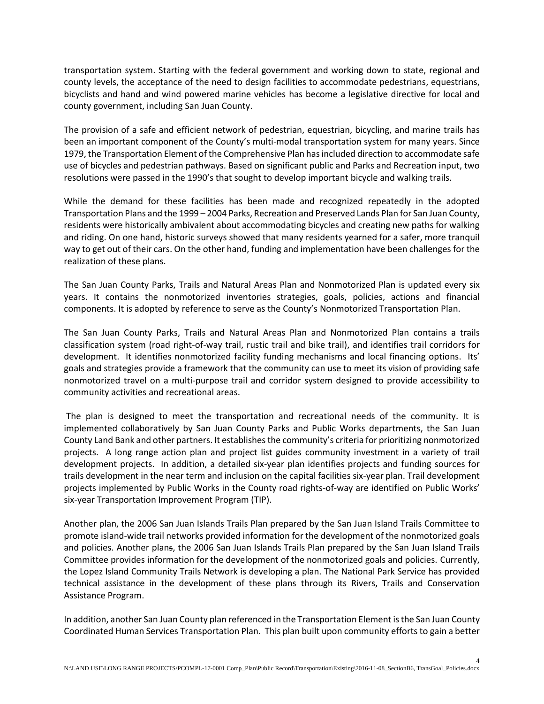transportation system. Starting with the federal government and working down to state, regional and county levels, the acceptance of the need to design facilities to accommodate pedestrians, equestrians, bicyclists and hand and wind powered marine vehicles has become a legislative directive for local and county government, including San Juan County.

The provision of a safe and efficient network of pedestrian, equestrian, bicycling, and marine trails has been an important component of the County's multi-modal transportation system for many years. Since 1979, the Transportation Element of the Comprehensive Plan has included direction to accommodate safe use of bicycles and pedestrian pathways. Based on significant public and Parks and Recreation input, two resolutions were passed in the 1990's that sought to develop important bicycle and walking trails.

While the demand for these facilities has been made and recognized repeatedly in the adopted Transportation Plans and the 1999 – 2004 Parks, Recreation and Preserved Lands Plan for San Juan County, residents were historically ambivalent about accommodating bicycles and creating new paths for walking and riding. On one hand, historic surveys showed that many residents yearned for a safer, more tranquil way to get out of their cars. On the other hand, funding and implementation have been challenges for the realization of these plans.

The San Juan County Parks, Trails and Natural Areas Plan and Nonmotorized Plan is updated every six years. It contains the nonmotorized inventories strategies, goals, policies, actions and financial components. It is adopted by reference to serve as the County's Nonmotorized Transportation Plan.

The San Juan County Parks, Trails and Natural Areas Plan and Nonmotorized Plan contains a trails classification system (road right-of-way trail, rustic trail and bike trail), and identifies trail corridors for development. It identifies nonmotorized facility funding mechanisms and local financing options. Its' goals and strategies provide a framework that the community can use to meet its vision of providing safe nonmotorized travel on a multi-purpose trail and corridor system designed to provide accessibility to community activities and recreational areas.

The plan is designed to meet the transportation and recreational needs of the community. It is implemented collaboratively by San Juan County Parks and Public Works departments, the San Juan County Land Bank and other partners. It establishes the community's criteria for prioritizing nonmotorized projects. A long range action plan and project list guides community investment in a variety of trail development projects. In addition, a detailed six-year plan identifies projects and funding sources for trails development in the near term and inclusion on the capital facilities six-year plan. Trail development projects implemented by Public Works in the County road rights-of-way are identified on Public Works' six-year Transportation Improvement Program (TIP).

Another plan, the 2006 San Juan Islands Trails Plan prepared by the San Juan Island Trails Committee to promote island-wide trail networks provided information for the development of the nonmotorized goals and policies. Another plans, the 2006 San Juan Islands Trails Plan prepared by the San Juan Island Trails Committee provides information for the development of the nonmotorized goals and policies. Currently, the Lopez Island Community Trails Network is developing a plan. The National Park Service has provided technical assistance in the development of these plans through its Rivers, Trails and Conservation Assistance Program.

In addition, another San Juan County plan referenced in the Transportation Element is the San Juan County Coordinated Human Services Transportation Plan. This plan built upon community efforts to gain a better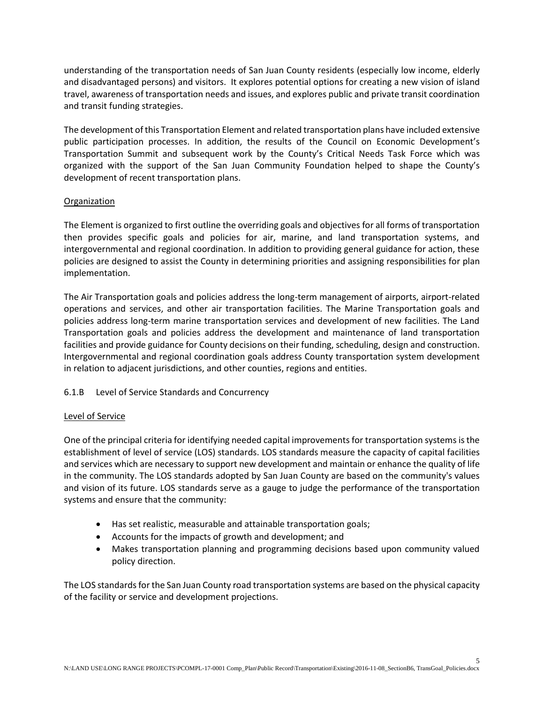understanding of the transportation needs of San Juan County residents (especially low income, elderly and disadvantaged persons) and visitors. It explores potential options for creating a new vision of island travel, awareness of transportation needs and issues, and explores public and private transit coordination and transit funding strategies.

The development of this Transportation Element and related transportation plans have included extensive public participation processes. In addition, the results of the Council on Economic Development's Transportation Summit and subsequent work by the County's Critical Needs Task Force which was organized with the support of the San Juan Community Foundation helped to shape the County's development of recent transportation plans.

# **Organization**

The Element is organized to first outline the overriding goals and objectives for all forms of transportation then provides specific goals and policies for air, marine, and land transportation systems, and intergovernmental and regional coordination. In addition to providing general guidance for action, these policies are designed to assist the County in determining priorities and assigning responsibilities for plan implementation.

The Air Transportation goals and policies address the long-term management of airports, airport-related operations and services, and other air transportation facilities. The Marine Transportation goals and policies address long-term marine transportation services and development of new facilities. The Land Transportation goals and policies address the development and maintenance of land transportation facilities and provide guidance for County decisions on their funding, scheduling, design and construction. Intergovernmental and regional coordination goals address County transportation system development in relation to adjacent jurisdictions, and other counties, regions and entities.

# 6.1.B Level of Service Standards and Concurrency

# Level of Service

One of the principal criteria for identifying needed capital improvements for transportation systems is the establishment of level of service (LOS) standards. LOS standards measure the capacity of capital facilities and services which are necessary to support new development and maintain or enhance the quality of life in the community. The LOS standards adopted by San Juan County are based on the community's values and vision of its future. LOS standards serve as a gauge to judge the performance of the transportation systems and ensure that the community:

- Has set realistic, measurable and attainable transportation goals;
- Accounts for the impacts of growth and development; and
- Makes transportation planning and programming decisions based upon community valued policy direction.

The LOS standards for the San Juan County road transportation systems are based on the physical capacity of the facility or service and development projections.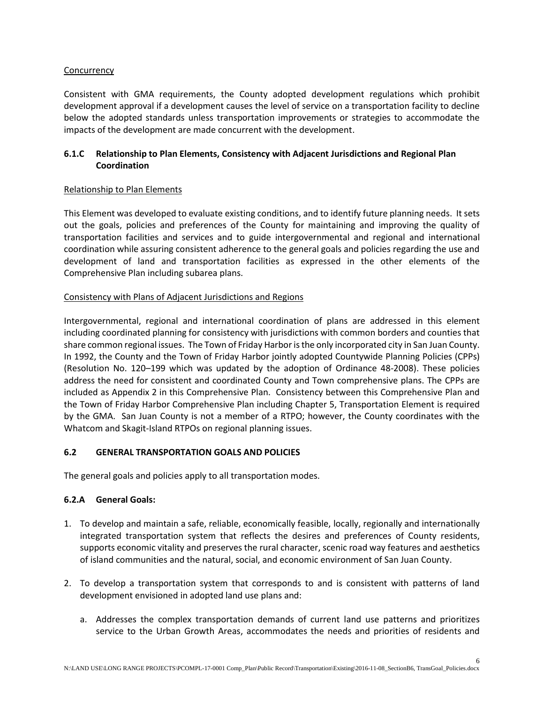### **Concurrency**

Consistent with GMA requirements, the County adopted development regulations which prohibit development approval if a development causes the level of service on a transportation facility to decline below the adopted standards unless transportation improvements or strategies to accommodate the impacts of the development are made concurrent with the development.

# **6.1.C Relationship to Plan Elements, Consistency with Adjacent Jurisdictions and Regional Plan Coordination**

#### Relationship to Plan Elements

This Element was developed to evaluate existing conditions, and to identify future planning needs. It sets out the goals, policies and preferences of the County for maintaining and improving the quality of transportation facilities and services and to guide intergovernmental and regional and international coordination while assuring consistent adherence to the general goals and policies regarding the use and development of land and transportation facilities as expressed in the other elements of the Comprehensive Plan including subarea plans.

#### Consistency with Plans of Adjacent Jurisdictions and Regions

Intergovernmental, regional and international coordination of plans are addressed in this element including coordinated planning for consistency with jurisdictions with common borders and counties that share common regional issues. The Town of Friday Harbor is the only incorporated city in San Juan County. In 1992, the County and the Town of Friday Harbor jointly adopted Countywide Planning Policies (CPPs) (Resolution No. 120–199 which was updated by the adoption of Ordinance 48-2008). These policies address the need for consistent and coordinated County and Town comprehensive plans. The CPPs are included as Appendix 2 in this Comprehensive Plan. Consistency between this Comprehensive Plan and the Town of Friday Harbor Comprehensive Plan including Chapter 5, Transportation Element is required by the GMA. San Juan County is not a member of a RTPO; however, the County coordinates with the Whatcom and Skagit-Island RTPOs on regional planning issues.

# **6.2 GENERAL TRANSPORTATION GOALS AND POLICIES**

The general goals and policies apply to all transportation modes.

# **6.2.A General Goals:**

- 1. To develop and maintain a safe, reliable, economically feasible, locally, regionally and internationally integrated transportation system that reflects the desires and preferences of County residents, supports economic vitality and preserves the rural character, scenic road way features and aesthetics of island communities and the natural, social, and economic environment of San Juan County.
- 2. To develop a transportation system that corresponds to and is consistent with patterns of land development envisioned in adopted land use plans and:
	- a. Addresses the complex transportation demands of current land use patterns and prioritizes service to the Urban Growth Areas, accommodates the needs and priorities of residents and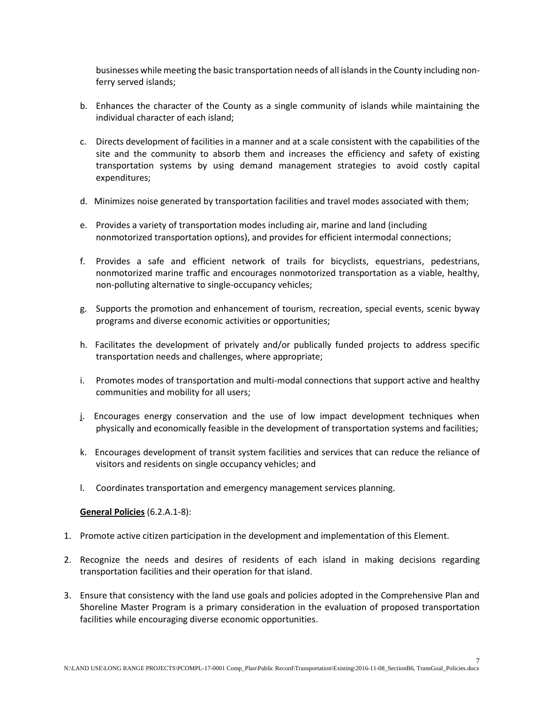businesses while meeting the basic transportation needs of all islands in the County including nonferry served islands;

- b. Enhances the character of the County as a single community of islands while maintaining the individual character of each island;
- c. Directs development of facilities in a manner and at a scale consistent with the capabilities of the site and the community to absorb them and increases the efficiency and safety of existing transportation systems by using demand management strategies to avoid costly capital expenditures;
- d. Minimizes noise generated by transportation facilities and travel modes associated with them;
- e. Provides a variety of transportation modes including air, marine and land (including nonmotorized transportation options), and provides for efficient intermodal connections;
- f. Provides a safe and efficient network of trails for bicyclists, equestrians, pedestrians, nonmotorized marine traffic and encourages nonmotorized transportation as a viable, healthy, non-polluting alternative to single-occupancy vehicles;
- g. Supports the promotion and enhancement of tourism, recreation, special events, scenic byway programs and diverse economic activities or opportunities;
- h. Facilitates the development of privately and/or publically funded projects to address specific transportation needs and challenges, where appropriate;
- i. Promotes modes of transportation and multi-modal connections that support active and healthy communities and mobility for all users;
- j. Encourages energy conservation and the use of low impact development techniques when physically and economically feasible in the development of transportation systems and facilities;
- k. Encourages development of transit system facilities and services that can reduce the reliance of visitors and residents on single occupancy vehicles; and
- l. Coordinates transportation and emergency management services planning.

**General Policies** (6.2.A.1-8):

- 1. Promote active citizen participation in the development and implementation of this Element.
- 2. Recognize the needs and desires of residents of each island in making decisions regarding transportation facilities and their operation for that island.
- 3. Ensure that consistency with the land use goals and policies adopted in the Comprehensive Plan and Shoreline Master Program is a primary consideration in the evaluation of proposed transportation facilities while encouraging diverse economic opportunities.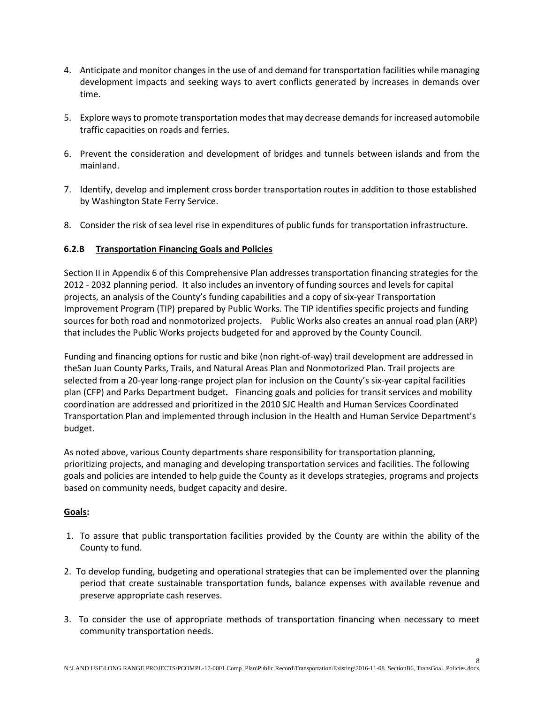- 4. Anticipate and monitor changes in the use of and demand for transportation facilities while managing development impacts and seeking ways to avert conflicts generated by increases in demands over time.
- 5. Explore ways to promote transportation modes that may decrease demands for increased automobile traffic capacities on roads and ferries.
- 6. Prevent the consideration and development of bridges and tunnels between islands and from the mainland.
- 7. Identify, develop and implement cross border transportation routes in addition to those established by Washington State Ferry Service.
- 8. Consider the risk of sea level rise in expenditures of public funds for transportation infrastructure.

# **6.2.B Transportation Financing Goals and Policies**

Section II in Appendix 6 of this Comprehensive Plan addresses transportation financing strategies for the 2012 - 2032 planning period. It also includes an inventory of funding sources and levels for capital projects, an analysis of the County's funding capabilities and a copy of six-year Transportation Improvement Program (TIP) prepared by Public Works. The TIP identifies specific projects and funding sources for both road and nonmotorized projects. Public Works also creates an annual road plan (ARP) that includes the Public Works projects budgeted for and approved by the County Council.

Funding and financing options for rustic and bike (non right-of-way) trail development are addressed in theSan Juan County Parks, Trails, and Natural Areas Plan and Nonmotorized Plan. Trail projects are selected from a 20-year long-range project plan for inclusion on the County's six-year capital facilities plan (CFP) and Parks Department budget*.* Financing goals and policies for transit services and mobility coordination are addressed and prioritized in the 2010 SJC Health and Human Services Coordinated Transportation Plan and implemented through inclusion in the Health and Human Service Department's budget.

As noted above, various County departments share responsibility for transportation planning, prioritizing projects, and managing and developing transportation services and facilities. The following goals and policies are intended to help guide the County as it develops strategies, programs and projects based on community needs, budget capacity and desire.

# **Goals:**

- 1. To assure that public transportation facilities provided by the County are within the ability of the County to fund.
- 2. To develop funding, budgeting and operational strategies that can be implemented over the planning period that create sustainable transportation funds, balance expenses with available revenue and preserve appropriate cash reserves.
- 3. To consider the use of appropriate methods of transportation financing when necessary to meet community transportation needs.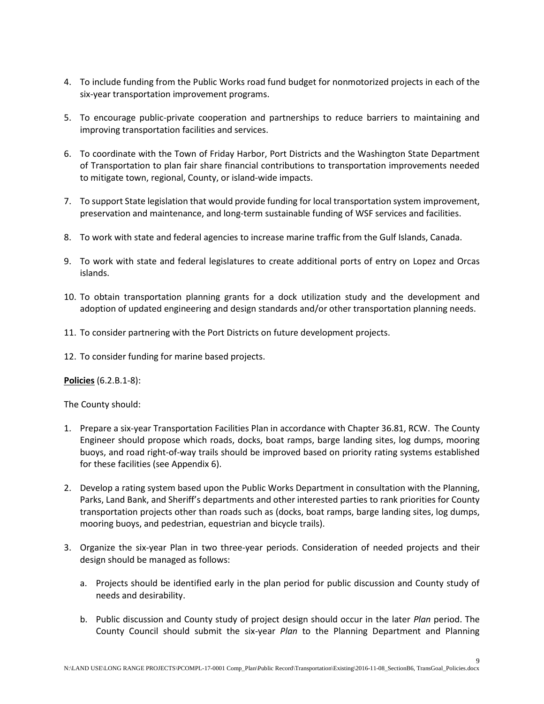- 4. To include funding from the Public Works road fund budget for nonmotorized projects in each of the six-year transportation improvement programs.
- 5. To encourage public-private cooperation and partnerships to reduce barriers to maintaining and improving transportation facilities and services.
- 6. To coordinate with the Town of Friday Harbor, Port Districts and the Washington State Department of Transportation to plan fair share financial contributions to transportation improvements needed to mitigate town, regional, County, or island-wide impacts.
- 7. To support State legislation that would provide funding for local transportation system improvement, preservation and maintenance, and long-term sustainable funding of WSF services and facilities.
- 8. To work with state and federal agencies to increase marine traffic from the Gulf Islands, Canada.
- 9. To work with state and federal legislatures to create additional ports of entry on Lopez and Orcas islands.
- 10. To obtain transportation planning grants for a dock utilization study and the development and adoption of updated engineering and design standards and/or other transportation planning needs.
- 11. To consider partnering with the Port Districts on future development projects.
- 12. To consider funding for marine based projects.

#### **Policies** (6.2.B.1-8):

The County should:

- 1. Prepare a six-year Transportation Facilities Plan in accordance with Chapter 36.81, RCW. The County Engineer should propose which roads, docks, boat ramps, barge landing sites, log dumps, mooring buoys, and road right-of-way trails should be improved based on priority rating systems established for these facilities (see Appendix 6).
- 2. Develop a rating system based upon the Public Works Department in consultation with the Planning, Parks, Land Bank, and Sheriff's departments and other interested parties to rank priorities for County transportation projects other than roads such as (docks, boat ramps, barge landing sites, log dumps, mooring buoys, and pedestrian, equestrian and bicycle trails).
- 3. Organize the six-year Plan in two three-year periods. Consideration of needed projects and their design should be managed as follows:
	- a. Projects should be identified early in the plan period for public discussion and County study of needs and desirability.
	- b. Public discussion and County study of project design should occur in the later *Plan* period. The County Council should submit the six-year *Plan* to the Planning Department and Planning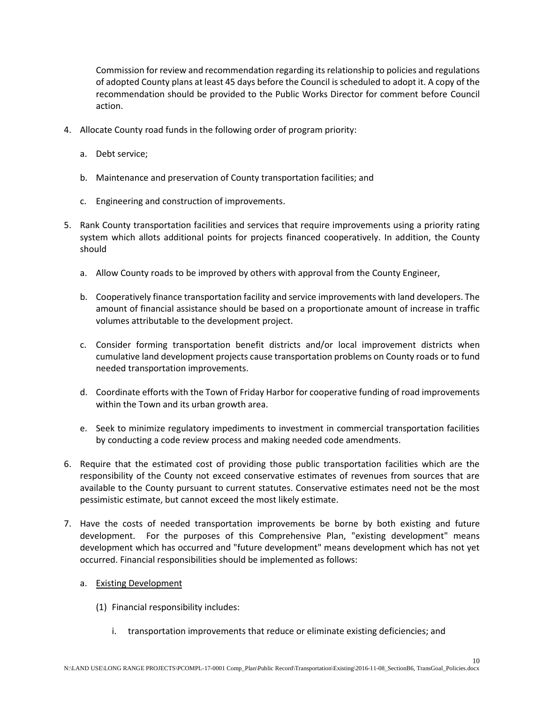Commission for review and recommendation regarding its relationship to policies and regulations of adopted County plans at least 45 days before the Council is scheduled to adopt it. A copy of the recommendation should be provided to the Public Works Director for comment before Council action.

- 4. Allocate County road funds in the following order of program priority:
	- a. Debt service;
	- b. Maintenance and preservation of County transportation facilities; and
	- c. Engineering and construction of improvements.
- 5. Rank County transportation facilities and services that require improvements using a priority rating system which allots additional points for projects financed cooperatively. In addition, the County should
	- a. Allow County roads to be improved by others with approval from the County Engineer,
	- b. Cooperatively finance transportation facility and service improvements with land developers. The amount of financial assistance should be based on a proportionate amount of increase in traffic volumes attributable to the development project.
	- c. Consider forming transportation benefit districts and/or local improvement districts when cumulative land development projects cause transportation problems on County roads or to fund needed transportation improvements.
	- d. Coordinate efforts with the Town of Friday Harbor for cooperative funding of road improvements within the Town and its urban growth area.
	- e. Seek to minimize regulatory impediments to investment in commercial transportation facilities by conducting a code review process and making needed code amendments.
- 6. Require that the estimated cost of providing those public transportation facilities which are the responsibility of the County not exceed conservative estimates of revenues from sources that are available to the County pursuant to current statutes. Conservative estimates need not be the most pessimistic estimate, but cannot exceed the most likely estimate.
- 7. Have the costs of needed transportation improvements be borne by both existing and future development. For the purposes of this Comprehensive Plan, "existing development" means development which has occurred and "future development" means development which has not yet occurred. Financial responsibilities should be implemented as follows:
	- a. Existing Development
		- (1) Financial responsibility includes:
			- i. transportation improvements that reduce or eliminate existing deficiencies; and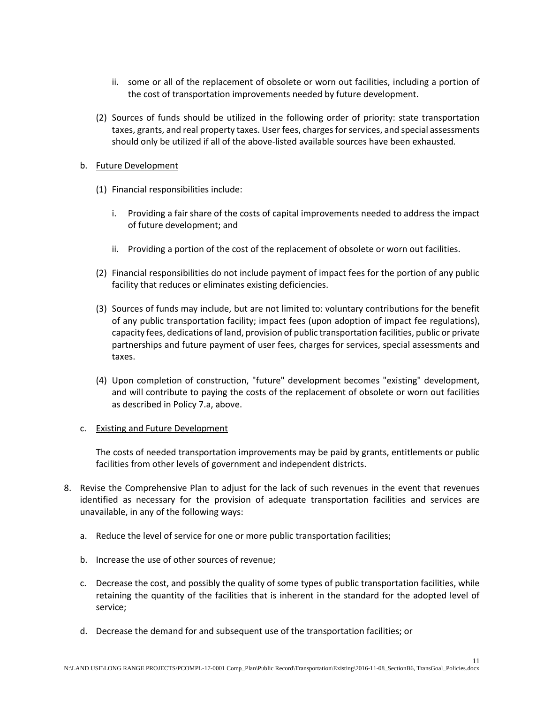- ii. some or all of the replacement of obsolete or worn out facilities, including a portion of the cost of transportation improvements needed by future development.
- (2) Sources of funds should be utilized in the following order of priority: state transportation taxes, grants, and real property taxes. User fees, charges for services, and special assessments should only be utilized if all of the above-listed available sources have been exhausted*.*

#### b. Future Development

- (1) Financial responsibilities include:
	- i. Providing a fair share of the costs of capital improvements needed to address the impact of future development; and
	- ii. Providing a portion of the cost of the replacement of obsolete or worn out facilities.
- (2) Financial responsibilities do not include payment of impact fees for the portion of any public facility that reduces or eliminates existing deficiencies.
- (3) Sources of funds may include, but are not limited to: voluntary contributions for the benefit of any public transportation facility; impact fees (upon adoption of impact fee regulations), capacity fees, dedications of land, provision of public transportation facilities, public or private partnerships and future payment of user fees, charges for services, special assessments and taxes.
- (4) Upon completion of construction, "future" development becomes "existing" development, and will contribute to paying the costs of the replacement of obsolete or worn out facilities as described in Policy 7.a, above.

# c. Existing and Future Development

The costs of needed transportation improvements may be paid by grants, entitlements or public facilities from other levels of government and independent districts.

- 8. Revise the Comprehensive Plan to adjust for the lack of such revenues in the event that revenues identified as necessary for the provision of adequate transportation facilities and services are unavailable, in any of the following ways:
	- a. Reduce the level of service for one or more public transportation facilities;
	- b. Increase the use of other sources of revenue;
	- c. Decrease the cost, and possibly the quality of some types of public transportation facilities, while retaining the quantity of the facilities that is inherent in the standard for the adopted level of service;
	- d. Decrease the demand for and subsequent use of the transportation facilities; or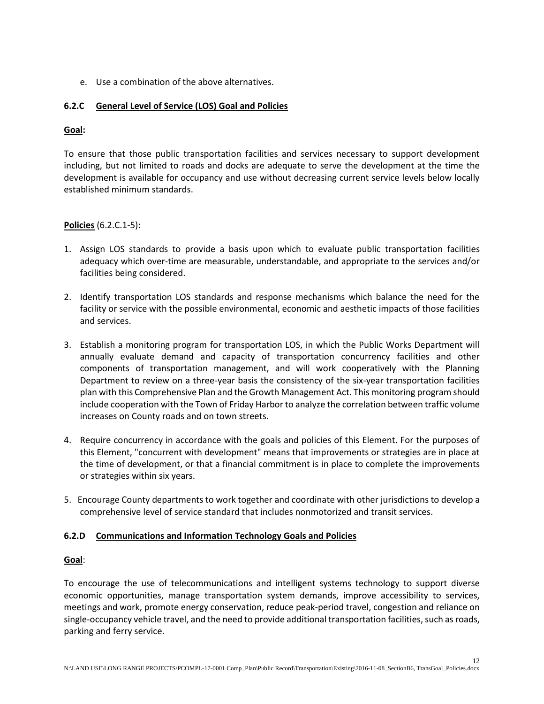e. Use a combination of the above alternatives.

# **6.2.C General Level of Service (LOS) Goal and Policies**

#### **Goal:**

To ensure that those public transportation facilities and services necessary to support development including, but not limited to roads and docks are adequate to serve the development at the time the development is available for occupancy and use without decreasing current service levels below locally established minimum standards.

#### **Policies** (6.2.C.1-5):

- 1. Assign LOS standards to provide a basis upon which to evaluate public transportation facilities adequacy which over-time are measurable, understandable, and appropriate to the services and/or facilities being considered.
- 2. Identify transportation LOS standards and response mechanisms which balance the need for the facility or service with the possible environmental, economic and aesthetic impacts of those facilities and services.
- 3. Establish a monitoring program for transportation LOS, in which the Public Works Department will annually evaluate demand and capacity of transportation concurrency facilities and other components of transportation management, and will work cooperatively with the Planning Department to review on a three-year basis the consistency of the six-year transportation facilities plan with this Comprehensive Plan and the Growth Management Act. This monitoring program should include cooperation with the Town of Friday Harbor to analyze the correlation between traffic volume increases on County roads and on town streets.
- 4. Require concurrency in accordance with the goals and policies of this Element. For the purposes of this Element, "concurrent with development" means that improvements or strategies are in place at the time of development, or that a financial commitment is in place to complete the improvements or strategies within six years.
- 5. Encourage County departments to work together and coordinate with other jurisdictions to develop a comprehensive level of service standard that includes nonmotorized and transit services.

# **6.2.D Communications and Information Technology Goals and Policies**

#### **Goal**:

To encourage the use of telecommunications and intelligent systems technology to support diverse economic opportunities, manage transportation system demands, improve accessibility to services, meetings and work, promote energy conservation, reduce peak-period travel, congestion and reliance on single-occupancy vehicle travel, and the need to provide additional transportation facilities, such as roads, parking and ferry service.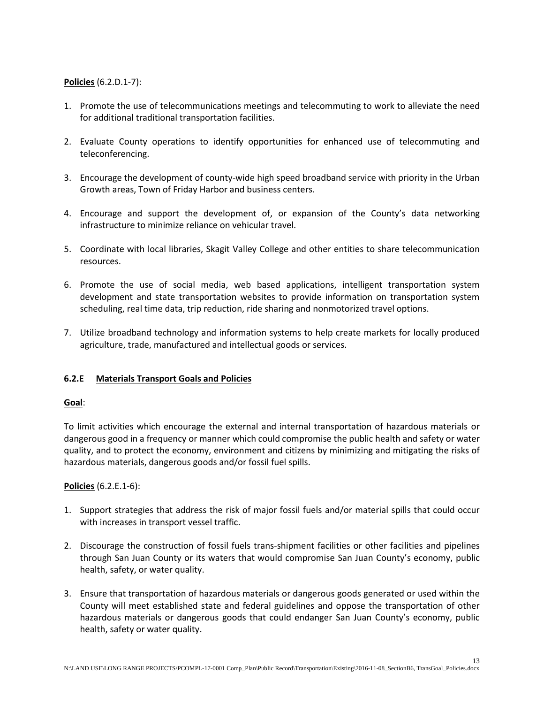# **Policies** (6.2.D.1-7):

- 1. Promote the use of telecommunications meetings and telecommuting to work to alleviate the need for additional traditional transportation facilities.
- 2. Evaluate County operations to identify opportunities for enhanced use of telecommuting and teleconferencing.
- 3. Encourage the development of county-wide high speed broadband service with priority in the Urban Growth areas, Town of Friday Harbor and business centers.
- 4. Encourage and support the development of, or expansion of the County's data networking infrastructure to minimize reliance on vehicular travel.
- 5. Coordinate with local libraries, Skagit Valley College and other entities to share telecommunication resources.
- 6. Promote the use of social media, web based applications, intelligent transportation system development and state transportation websites to provide information on transportation system scheduling, real time data, trip reduction, ride sharing and nonmotorized travel options.
- 7. Utilize broadband technology and information systems to help create markets for locally produced agriculture, trade, manufactured and intellectual goods or services.

# **6.2.E Materials Transport Goals and Policies**

#### **Goal**:

To limit activities which encourage the external and internal transportation of hazardous materials or dangerous good in a frequency or manner which could compromise the public health and safety or water quality, and to protect the economy, environment and citizens by minimizing and mitigating the risks of hazardous materials, dangerous goods and/or fossil fuel spills.

#### **Policies** (6.2.E.1-6):

- 1. Support strategies that address the risk of major fossil fuels and/or material spills that could occur with increases in transport vessel traffic.
- 2. Discourage the construction of fossil fuels trans-shipment facilities or other facilities and pipelines through San Juan County or its waters that would compromise San Juan County's economy, public health, safety, or water quality.
- 3. Ensure that transportation of hazardous materials or dangerous goods generated or used within the County will meet established state and federal guidelines and oppose the transportation of other hazardous materials or dangerous goods that could endanger San Juan County's economy, public health, safety or water quality.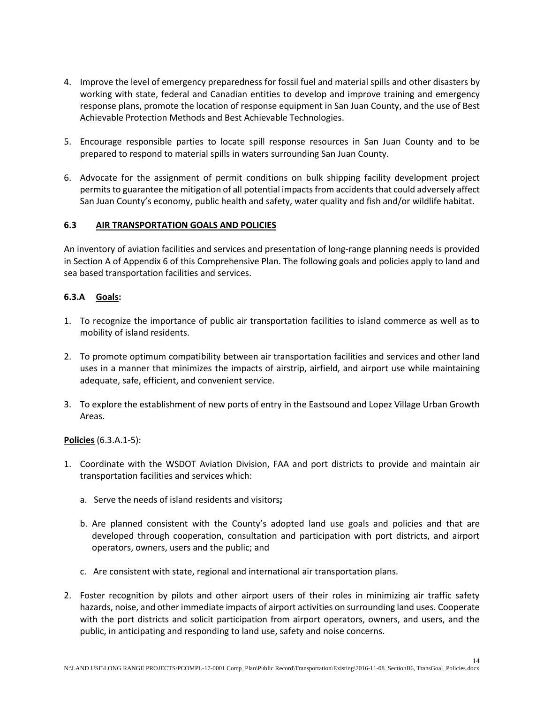- 4. Improve the level of emergency preparedness for fossil fuel and material spills and other disasters by working with state, federal and Canadian entities to develop and improve training and emergency response plans, promote the location of response equipment in San Juan County, and the use of Best Achievable Protection Methods and Best Achievable Technologies.
- 5. Encourage responsible parties to locate spill response resources in San Juan County and to be prepared to respond to material spills in waters surrounding San Juan County.
- 6. Advocate for the assignment of permit conditions on bulk shipping facility development project permits to guarantee the mitigation of all potential impacts from accidents that could adversely affect San Juan County's economy, public health and safety, water quality and fish and/or wildlife habitat.

# **6.3 AIR TRANSPORTATION GOALS AND POLICIES**

An inventory of aviation facilities and services and presentation of long-range planning needs is provided in Section A of Appendix 6 of this Comprehensive Plan. The following goals and policies apply to land and sea based transportation facilities and services.

# **6.3.A Goals:**

- 1. To recognize the importance of public air transportation facilities to island commerce as well as to mobility of island residents.
- 2. To promote optimum compatibility between air transportation facilities and services and other land uses in a manner that minimizes the impacts of airstrip, airfield, and airport use while maintaining adequate, safe, efficient, and convenient service.
- 3. To explore the establishment of new ports of entry in the Eastsound and Lopez Village Urban Growth Areas.

# **Policies** (6.3.A.1-5):

- 1. Coordinate with the WSDOT Aviation Division, FAA and port districts to provide and maintain air transportation facilities and services which:
	- a. Serve the needs of island residents and visitors**;**
	- b. Are planned consistent with the County's adopted land use goals and policies and that are developed through cooperation, consultation and participation with port districts, and airport operators, owners, users and the public; and
	- c. Are consistent with state, regional and international air transportation plans.
- 2. Foster recognition by pilots and other airport users of their roles in minimizing air traffic safety hazards, noise, and other immediate impacts of airport activities on surrounding land uses. Cooperate with the port districts and solicit participation from airport operators, owners, and users, and the public, in anticipating and responding to land use, safety and noise concerns.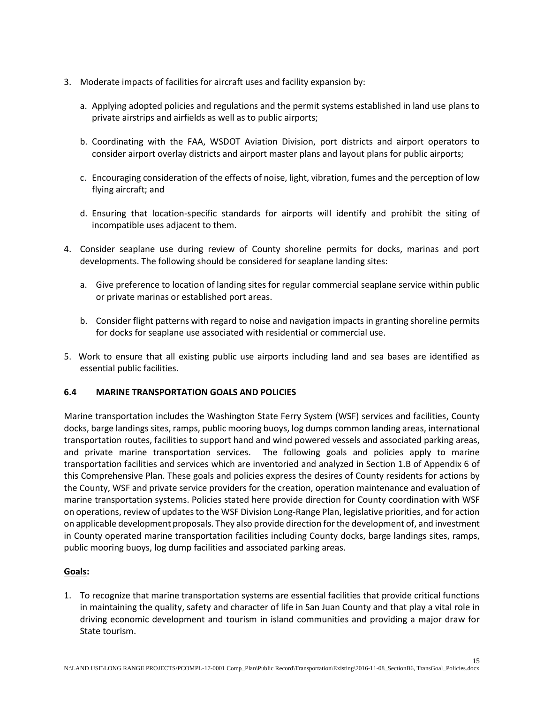- 3. Moderate impacts of facilities for aircraft uses and facility expansion by:
	- a. Applying adopted policies and regulations and the permit systems established in land use plans to private airstrips and airfields as well as to public airports;
	- b. Coordinating with the FAA, WSDOT Aviation Division, port districts and airport operators to consider airport overlay districts and airport master plans and layout plans for public airports;
	- c. Encouraging consideration of the effects of noise, light, vibration, fumes and the perception of low flying aircraft; and
	- d. Ensuring that location-specific standards for airports will identify and prohibit the siting of incompatible uses adjacent to them.
- 4. Consider seaplane use during review of County shoreline permits for docks, marinas and port developments. The following should be considered for seaplane landing sites:
	- a. Give preference to location of landing sites for regular commercial seaplane service within public or private marinas or established port areas.
	- b. Consider flight patterns with regard to noise and navigation impacts in granting shoreline permits for docks for seaplane use associated with residential or commercial use.
- 5. Work to ensure that all existing public use airports including land and sea bases are identified as essential public facilities.

# **6.4 MARINE TRANSPORTATION GOALS AND POLICIES**

Marine transportation includes the Washington State Ferry System (WSF) services and facilities, County docks, barge landings sites, ramps, public mooring buoys, log dumps common landing areas, international transportation routes, facilities to support hand and wind powered vessels and associated parking areas, and private marine transportation services. The following goals and policies apply to marine transportation facilities and services which are inventoried and analyzed in Section 1.B of Appendix 6 of this Comprehensive Plan. These goals and policies express the desires of County residents for actions by the County, WSF and private service providers for the creation, operation maintenance and evaluation of marine transportation systems. Policies stated here provide direction for County coordination with WSF on operations, review of updates to the WSF Division Long-Range Plan, legislative priorities, and for action on applicable development proposals. They also provide direction for the development of, and investment in County operated marine transportation facilities including County docks, barge landings sites, ramps, public mooring buoys, log dump facilities and associated parking areas.

# **Goals:**

1. To recognize that marine transportation systems are essential facilities that provide critical functions in maintaining the quality, safety and character of life in San Juan County and that play a vital role in driving economic development and tourism in island communities and providing a major draw for State tourism.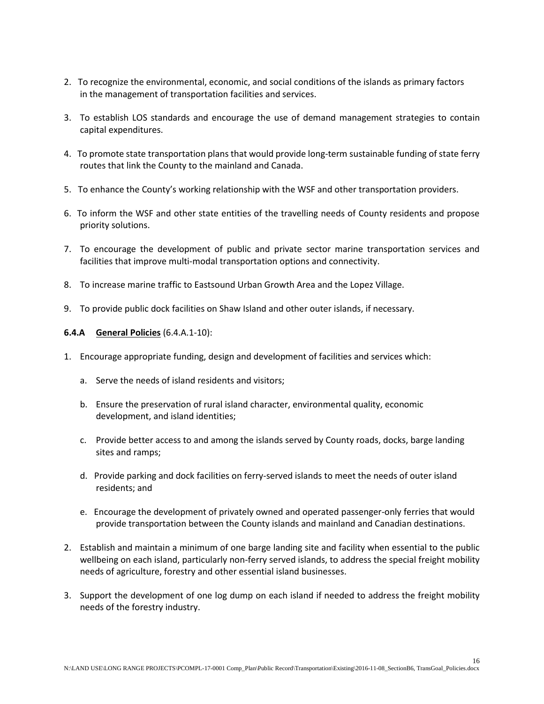- 2. To recognize the environmental, economic, and social conditions of the islands as primary factors in the management of transportation facilities and services.
- 3. To establish LOS standards and encourage the use of demand management strategies to contain capital expenditures.
- 4. To promote state transportation plans that would provide long-term sustainable funding of state ferry routes that link the County to the mainland and Canada.
- 5. To enhance the County's working relationship with the WSF and other transportation providers.
- 6. To inform the WSF and other state entities of the travelling needs of County residents and propose priority solutions.
- 7. To encourage the development of public and private sector marine transportation services and facilities that improve multi-modal transportation options and connectivity.
- 8. To increase marine traffic to Eastsound Urban Growth Area and the Lopez Village.
- 9. To provide public dock facilities on Shaw Island and other outer islands, if necessary.

#### **6.4.A General Policies** (6.4.A.1-10):

- 1. Encourage appropriate funding, design and development of facilities and services which:
	- a. Serve the needs of island residents and visitors;
	- b. Ensure the preservation of rural island character, environmental quality, economic development, and island identities;
	- c. Provide better access to and among the islands served by County roads, docks, barge landing sites and ramps;
	- d. Provide parking and dock facilities on ferry-served islands to meet the needs of outer island residents; and
	- e. Encourage the development of privately owned and operated passenger-only ferries that would provide transportation between the County islands and mainland and Canadian destinations.
- 2. Establish and maintain a minimum of one barge landing site and facility when essential to the public wellbeing on each island, particularly non-ferry served islands, to address the special freight mobility needs of agriculture, forestry and other essential island businesses.
- 3. Support the development of one log dump on each island if needed to address the freight mobility needs of the forestry industry.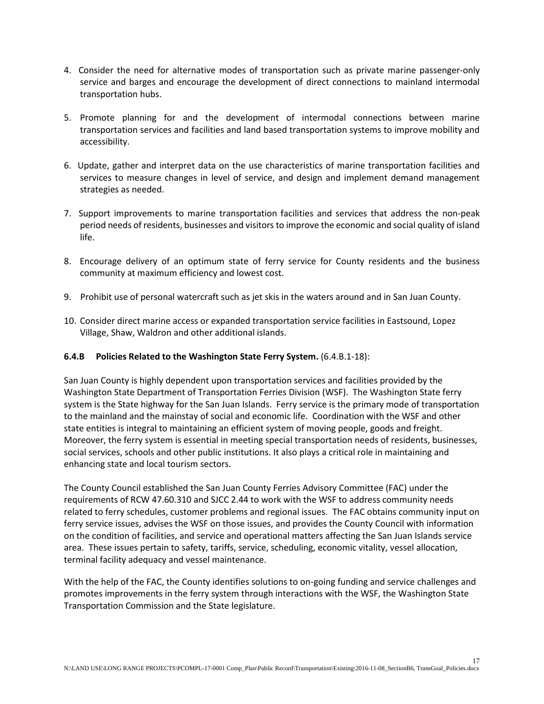- 4. Consider the need for alternative modes of transportation such as private marine passenger-only service and barges and encourage the development of direct connections to mainland intermodal transportation hubs.
- 5. Promote planning for and the development of intermodal connections between marine transportation services and facilities and land based transportation systems to improve mobility and accessibility.
- 6. Update, gather and interpret data on the use characteristics of marine transportation facilities and services to measure changes in level of service, and design and implement demand management strategies as needed.
- 7. Support improvements to marine transportation facilities and services that address the non-peak period needs of residents, businesses and visitors to improve the economic and social quality of island life.
- 8. Encourage delivery of an optimum state of ferry service for County residents and the business community at maximum efficiency and lowest cost.
- 9. Prohibit use of personal watercraft such as jet skis in the waters around and in San Juan County.
- 10. Consider direct marine access or expanded transportation service facilities in Eastsound, Lopez Village, Shaw, Waldron and other additional islands.

# **6.4.B Policies Related to the Washington State Ferry System.** (6.4.B.1-18):

San Juan County is highly dependent upon transportation services and facilities provided by the Washington State Department of Transportation Ferries Division (WSF). The Washington State ferry system is the State highway for the San Juan Islands. Ferry service is the primary mode of transportation to the mainland and the mainstay of social and economic life. Coordination with the WSF and other state entities is integral to maintaining an efficient system of moving people, goods and freight. Moreover, the ferry system is essential in meeting special transportation needs of residents, businesses, social services, schools and other public institutions. It also plays a critical role in maintaining and enhancing state and local tourism sectors.

The County Council established the San Juan County Ferries Advisory Committee (FAC) under the requirements of RCW 47.60.310 and SJCC 2.44 to work with the WSF to address community needs related to ferry schedules, customer problems and regional issues. The FAC obtains community input on ferry service issues, advises the WSF on those issues, and provides the County Council with information on the condition of facilities, and service and operational matters affecting the San Juan Islands service area. These issues pertain to safety, tariffs, service, scheduling, economic vitality, vessel allocation, terminal facility adequacy and vessel maintenance.

With the help of the FAC, the County identifies solutions to on-going funding and service challenges and promotes improvements in the ferry system through interactions with the WSF, the Washington State Transportation Commission and the State legislature.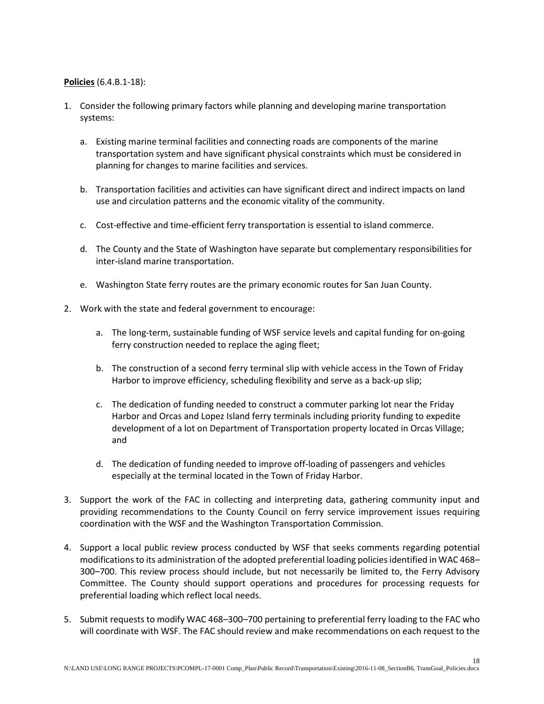#### **Policies** (6.4.B.1-18):

- 1. Consider the following primary factors while planning and developing marine transportation systems:
	- a. Existing marine terminal facilities and connecting roads are components of the marine transportation system and have significant physical constraints which must be considered in planning for changes to marine facilities and services.
	- b. Transportation facilities and activities can have significant direct and indirect impacts on land use and circulation patterns and the economic vitality of the community.
	- c. Cost-effective and time-efficient ferry transportation is essential to island commerce.
	- d. The County and the State of Washington have separate but complementary responsibilities for inter-island marine transportation.
	- e. Washington State ferry routes are the primary economic routes for San Juan County.
- 2. Work with the state and federal government to encourage:
	- a. The long-term, sustainable funding of WSF service levels and capital funding for on-going ferry construction needed to replace the aging fleet;
	- b. The construction of a second ferry terminal slip with vehicle access in the Town of Friday Harbor to improve efficiency, scheduling flexibility and serve as a back-up slip;
	- c. The dedication of funding needed to construct a commuter parking lot near the Friday Harbor and Orcas and Lopez Island ferry terminals including priority funding to expedite development of a lot on Department of Transportation property located in Orcas Village; and
	- d. The dedication of funding needed to improve off-loading of passengers and vehicles especially at the terminal located in the Town of Friday Harbor.
- 3. Support the work of the FAC in collecting and interpreting data, gathering community input and providing recommendations to the County Council on ferry service improvement issues requiring coordination with the WSF and the Washington Transportation Commission.
- 4. Support a local public review process conducted by WSF that seeks comments regarding potential modifications to its administration of the adopted preferential loading policies identified in WAC 468– 300–700. This review process should include, but not necessarily be limited to, the Ferry Advisory Committee. The County should support operations and procedures for processing requests for preferential loading which reflect local needs.
- 5. Submit requests to modify WAC 468–300–700 pertaining to preferential ferry loading to the FAC who will coordinate with WSF. The FAC should review and make recommendations on each request to the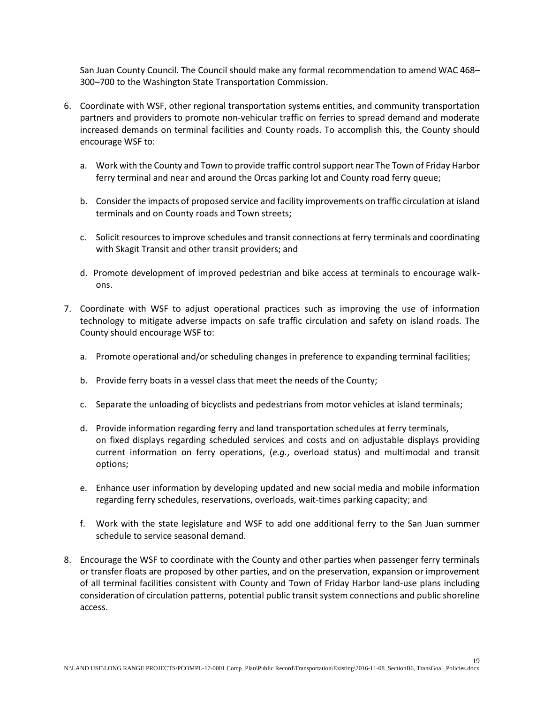San Juan County Council. The Council should make any formal recommendation to amend WAC 468– 300–700 to the Washington State Transportation Commission.

- 6. Coordinate with WSF, other regional transportation systems entities, and community transportation partners and providers to promote non-vehicular traffic on ferries to spread demand and moderate increased demands on terminal facilities and County roads. To accomplish this, the County should encourage WSF to:
	- a. Work with the County and Town to provide traffic control support near The Town of Friday Harbor ferry terminal and near and around the Orcas parking lot and County road ferry queue;
	- b. Consider the impacts of proposed service and facility improvements on traffic circulation at island terminals and on County roads and Town streets;
	- c. Solicit resources to improve schedules and transit connections at ferry terminals and coordinating with Skagit Transit and other transit providers; and
	- d. Promote development of improved pedestrian and bike access at terminals to encourage walkons.
- 7. Coordinate with WSF to adjust operational practices such as improving the use of information technology to mitigate adverse impacts on safe traffic circulation and safety on island roads. The County should encourage WSF to:
	- a. Promote operational and/or scheduling changes in preference to expanding terminal facilities;
	- b. Provide ferry boats in a vessel class that meet the needs of the County;
	- c. Separate the unloading of bicyclists and pedestrians from motor vehicles at island terminals;
	- d. Provide information regarding ferry and land transportation schedules at ferry terminals, on fixed displays regarding scheduled services and costs and on adjustable displays providing current information on ferry operations, (*e.g.*, overload status) and multimodal and transit options;
	- e. Enhance user information by developing updated and new social media and mobile information regarding ferry schedules, reservations, overloads, wait-times parking capacity; and
	- f. Work with the state legislature and WSF to add one additional ferry to the San Juan summer schedule to service seasonal demand.
- 8. Encourage the WSF to coordinate with the County and other parties when passenger ferry terminals or transfer floats are proposed by other parties, and on the preservation, expansion or improvement of all terminal facilities consistent with County and Town of Friday Harbor land-use plans including consideration of circulation patterns, potential public transit system connections and public shoreline access.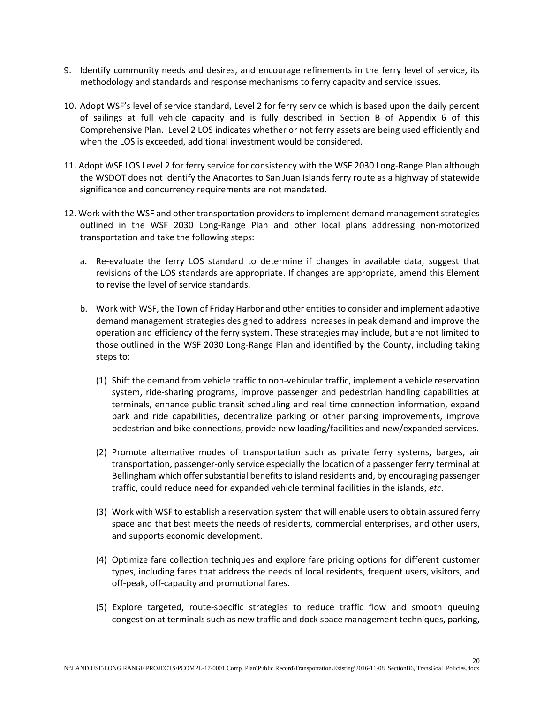- 9. Identify community needs and desires, and encourage refinements in the ferry level of service, its methodology and standards and response mechanisms to ferry capacity and service issues.
- 10. Adopt WSF's level of service standard, Level 2 for ferry service which is based upon the daily percent of sailings at full vehicle capacity and is fully described in Section B of Appendix 6 of this Comprehensive Plan. Level 2 LOS indicates whether or not ferry assets are being used efficiently and when the LOS is exceeded, additional investment would be considered.
- 11. Adopt WSF LOS Level 2 for ferry service for consistency with the WSF 2030 Long-Range Plan although the WSDOT does not identify the Anacortes to San Juan Islands ferry route as a highway of statewide significance and concurrency requirements are not mandated.
- 12. Work with the WSF and other transportation providers to implement demand management strategies outlined in the WSF 2030 Long-Range Plan and other local plans addressing non-motorized transportation and take the following steps:
	- a. Re-evaluate the ferry LOS standard to determine if changes in available data, suggest that revisions of the LOS standards are appropriate. If changes are appropriate, amend this Element to revise the level of service standards.
	- b. Work with WSF, the Town of Friday Harbor and other entities to consider and implement adaptive demand management strategies designed to address increases in peak demand and improve the operation and efficiency of the ferry system. These strategies may include, but are not limited to those outlined in the WSF 2030 Long-Range Plan and identified by the County, including taking steps to:
		- (1) Shift the demand from vehicle traffic to non-vehicular traffic, implement a vehicle reservation system, ride-sharing programs, improve passenger and pedestrian handling capabilities at terminals, enhance public transit scheduling and real time connection information, expand park and ride capabilities, decentralize parking or other parking improvements, improve pedestrian and bike connections, provide new loading/facilities and new/expanded services.
		- (2) Promote alternative modes of transportation such as private ferry systems, barges, air transportation, passenger-only service especially the location of a passenger ferry terminal at Bellingham which offer substantial benefits to island residents and, by encouraging passenger traffic, could reduce need for expanded vehicle terminal facilities in the islands, *etc*.
		- (3) Work with WSF to establish a reservation system that will enable users to obtain assured ferry space and that best meets the needs of residents, commercial enterprises, and other users, and supports economic development.
		- (4) Optimize fare collection techniques and explore fare pricing options for different customer types, including fares that address the needs of local residents, frequent users, visitors, and off-peak, off-capacity and promotional fares.
		- (5) Explore targeted, route-specific strategies to reduce traffic flow and smooth queuing congestion at terminals such as new traffic and dock space management techniques, parking,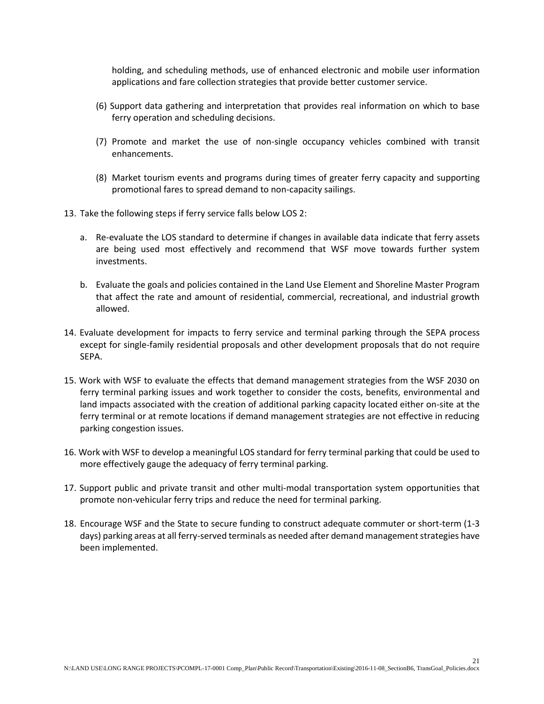holding, and scheduling methods, use of enhanced electronic and mobile user information applications and fare collection strategies that provide better customer service.

- (6) Support data gathering and interpretation that provides real information on which to base ferry operation and scheduling decisions.
- (7) Promote and market the use of non-single occupancy vehicles combined with transit enhancements.
- (8) Market tourism events and programs during times of greater ferry capacity and supporting promotional fares to spread demand to non-capacity sailings.
- 13. Take the following steps if ferry service falls below LOS 2:
	- a. Re-evaluate the LOS standard to determine if changes in available data indicate that ferry assets are being used most effectively and recommend that WSF move towards further system investments.
	- b. Evaluate the goals and policies contained in the Land Use Element and Shoreline Master Program that affect the rate and amount of residential, commercial, recreational, and industrial growth allowed.
- 14. Evaluate development for impacts to ferry service and terminal parking through the SEPA process except for single-family residential proposals and other development proposals that do not require SEPA.
- 15. Work with WSF to evaluate the effects that demand management strategies from the WSF 2030 on ferry terminal parking issues and work together to consider the costs, benefits, environmental and land impacts associated with the creation of additional parking capacity located either on-site at the ferry terminal or at remote locations if demand management strategies are not effective in reducing parking congestion issues.
- 16. Work with WSF to develop a meaningful LOS standard for ferry terminal parking that could be used to more effectively gauge the adequacy of ferry terminal parking.
- 17. Support public and private transit and other multi-modal transportation system opportunities that promote non-vehicular ferry trips and reduce the need for terminal parking.
- 18. Encourage WSF and the State to secure funding to construct adequate commuter or short-term (1-3 days) parking areas at all ferry-served terminals as needed after demand management strategies have been implemented.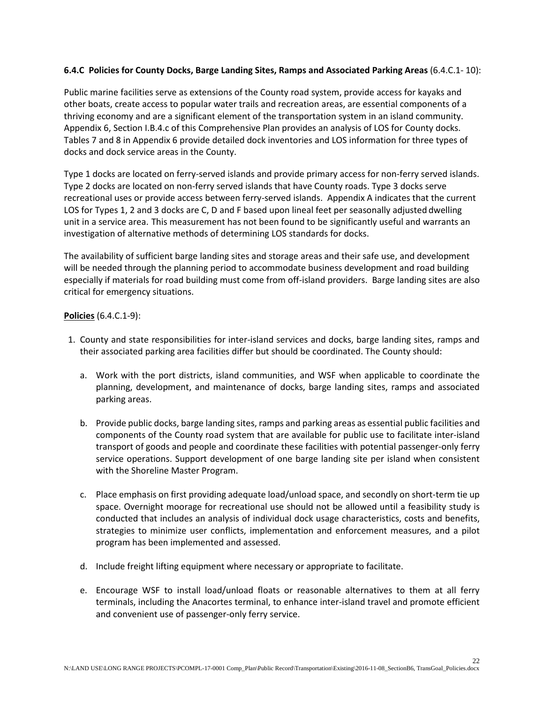### **6.4.C Policies for County Docks, Barge Landing Sites, Ramps and Associated Parking Areas** (6.4.C.1- 10):

Public marine facilities serve as extensions of the County road system, provide access for kayaks and other boats, create access to popular water trails and recreation areas, are essential components of a thriving economy and are a significant element of the transportation system in an island community. Appendix 6, Section I.B.4.c of this Comprehensive Plan provides an analysis of LOS for County docks. Tables 7 and 8 in Appendix 6 provide detailed dock inventories and LOS information for three types of docks and dock service areas in the County.

Type 1 docks are located on ferry-served islands and provide primary access for non-ferry served islands. Type 2 docks are located on non-ferry served islands that have County roads. Type 3 docks serve recreational uses or provide access between ferry-served islands. Appendix A indicates that the current LOS for Types 1, 2 and 3 docks are C, D and F based upon lineal feet per seasonally adjusted dwelling unit in a service area. This measurement has not been found to be significantly useful and warrants an investigation of alternative methods of determining LOS standards for docks.

The availability of sufficient barge landing sites and storage areas and their safe use, and development will be needed through the planning period to accommodate business development and road building especially if materials for road building must come from off-island providers. Barge landing sites are also critical for emergency situations.

#### **Policies** (6.4.C.1-9):

- 1. County and state responsibilities for inter-island services and docks, barge landing sites, ramps and their associated parking area facilities differ but should be coordinated. The County should:
	- a. Work with the port districts, island communities, and WSF when applicable to coordinate the planning, development, and maintenance of docks, barge landing sites, ramps and associated parking areas.
	- b. Provide public docks, barge landing sites, ramps and parking areas as essential public facilities and components of the County road system that are available for public use to facilitate inter-island transport of goods and people and coordinate these facilities with potential passenger-only ferry service operations. Support development of one barge landing site per island when consistent with the Shoreline Master Program.
	- c. Place emphasis on first providing adequate load/unload space, and secondly on short-term tie up space. Overnight moorage for recreational use should not be allowed until a feasibility study is conducted that includes an analysis of individual dock usage characteristics, costs and benefits, strategies to minimize user conflicts, implementation and enforcement measures, and a pilot program has been implemented and assessed.
	- d. Include freight lifting equipment where necessary or appropriate to facilitate.
	- e. Encourage WSF to install load/unload floats or reasonable alternatives to them at all ferry terminals, including the Anacortes terminal, to enhance inter-island travel and promote efficient and convenient use of passenger-only ferry service.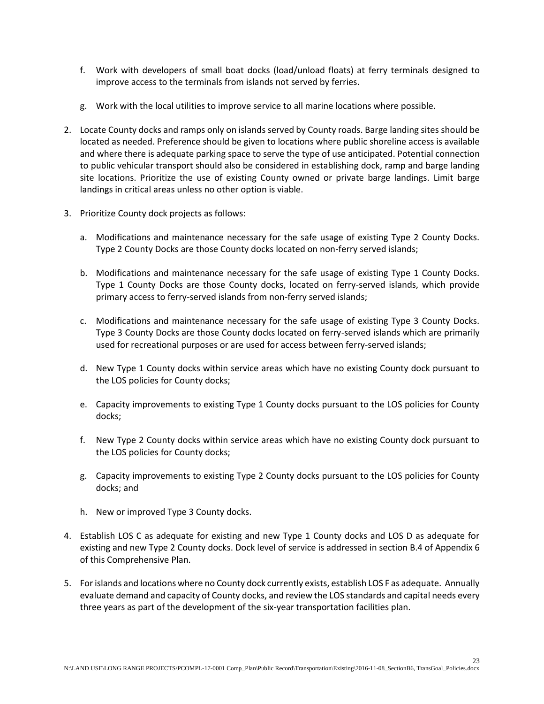- f. Work with developers of small boat docks (load/unload floats) at ferry terminals designed to improve access to the terminals from islands not served by ferries.
- g. Work with the local utilities to improve service to all marine locations where possible.
- 2. Locate County docks and ramps only on islands served by County roads. Barge landing sites should be located as needed. Preference should be given to locations where public shoreline access is available and where there is adequate parking space to serve the type of use anticipated. Potential connection to public vehicular transport should also be considered in establishing dock, ramp and barge landing site locations. Prioritize the use of existing County owned or private barge landings. Limit barge landings in critical areas unless no other option is viable.
- 3. Prioritize County dock projects as follows:
	- a. Modifications and maintenance necessary for the safe usage of existing Type 2 County Docks. Type 2 County Docks are those County docks located on non-ferry served islands;
	- b. Modifications and maintenance necessary for the safe usage of existing Type 1 County Docks. Type 1 County Docks are those County docks, located on ferry-served islands, which provide primary access to ferry-served islands from non-ferry served islands;
	- c. Modifications and maintenance necessary for the safe usage of existing Type 3 County Docks. Type 3 County Docks are those County docks located on ferry-served islands which are primarily used for recreational purposes or are used for access between ferry-served islands;
	- d. New Type 1 County docks within service areas which have no existing County dock pursuant to the LOS policies for County docks;
	- e. Capacity improvements to existing Type 1 County docks pursuant to the LOS policies for County docks;
	- f. New Type 2 County docks within service areas which have no existing County dock pursuant to the LOS policies for County docks;
	- g. Capacity improvements to existing Type 2 County docks pursuant to the LOS policies for County docks; and
	- h. New or improved Type 3 County docks.
- 4. Establish LOS C as adequate for existing and new Type 1 County docks and LOS D as adequate for existing and new Type 2 County docks. Dock level of service is addressed in section B.4 of Appendix 6 of this Comprehensive Plan.
- 5. For islands and locations where no County dock currently exists, establish LOS F as adequate. Annually evaluate demand and capacity of County docks, and review the LOS standards and capital needs every three years as part of the development of the six-year transportation facilities plan.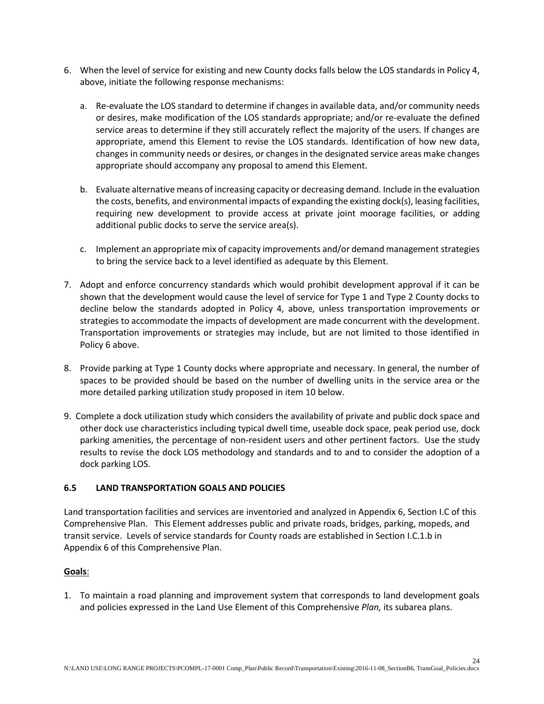- 6. When the level of service for existing and new County docks falls below the LOS standards in Policy 4, above, initiate the following response mechanisms:
	- a. Re-evaluate the LOS standard to determine if changes in available data, and/or community needs or desires, make modification of the LOS standards appropriate; and/or re-evaluate the defined service areas to determine if they still accurately reflect the majority of the users. If changes are appropriate, amend this Element to revise the LOS standards. Identification of how new data, changes in community needs or desires, or changes in the designated service areas make changes appropriate should accompany any proposal to amend this Element.
	- b. Evaluate alternative means of increasing capacity or decreasing demand. Include in the evaluation the costs, benefits, and environmental impacts of expanding the existing dock(s), leasing facilities, requiring new development to provide access at private joint moorage facilities, or adding additional public docks to serve the service area(s).
	- c. Implement an appropriate mix of capacity improvements and/or demand management strategies to bring the service back to a level identified as adequate by this Element.
- 7. Adopt and enforce concurrency standards which would prohibit development approval if it can be shown that the development would cause the level of service for Type 1 and Type 2 County docks to decline below the standards adopted in Policy 4, above, unless transportation improvements or strategies to accommodate the impacts of development are made concurrent with the development. Transportation improvements or strategies may include, but are not limited to those identified in Policy 6 above.
- 8. Provide parking at Type 1 County docks where appropriate and necessary. In general, the number of spaces to be provided should be based on the number of dwelling units in the service area or the more detailed parking utilization study proposed in item 10 below.
- 9. Complete a dock utilization study which considers the availability of private and public dock space and other dock use characteristics including typical dwell time, useable dock space, peak period use, dock parking amenities, the percentage of non-resident users and other pertinent factors. Use the study results to revise the dock LOS methodology and standards and to and to consider the adoption of a dock parking LOS.

# **6.5 LAND TRANSPORTATION GOALS AND POLICIES**

Land transportation facilities and services are inventoried and analyzed in Appendix 6, Section I.C of this Comprehensive Plan. This Element addresses public and private roads, bridges, parking, mopeds, and transit service. Levels of service standards for County roads are established in Section I.C.1.b in Appendix 6 of this Comprehensive Plan.

# **Goals**:

1. To maintain a road planning and improvement system that corresponds to land development goals and policies expressed in the Land Use Element of this Comprehensive *Plan,* its subarea plans.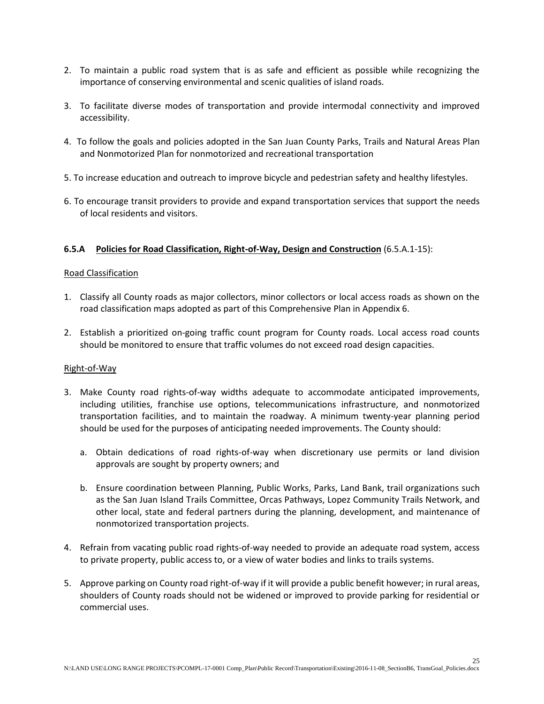- 2. To maintain a public road system that is as safe and efficient as possible while recognizing the importance of conserving environmental and scenic qualities of island roads.
- 3. To facilitate diverse modes of transportation and provide intermodal connectivity and improved accessibility.
- 4. To follow the goals and policies adopted in the San Juan County Parks, Trails and Natural Areas Plan and Nonmotorized Plan for nonmotorized and recreational transportation
- 5. To increase education and outreach to improve bicycle and pedestrian safety and healthy lifestyles.
- 6. To encourage transit providers to provide and expand transportation services that support the needs of local residents and visitors.

#### **6.5.A Policies for Road Classification, Right-of-Way, Design and Construction** (6.5.A.1-15):

#### Road Classification

- 1. Classify all County roads as major collectors, minor collectors or local access roads as shown on the road classification maps adopted as part of this Comprehensive Plan in Appendix 6.
- 2. Establish a prioritized on-going traffic count program for County roads. Local access road counts should be monitored to ensure that traffic volumes do not exceed road design capacities.

#### Right-of-Way

- 3. Make County road rights-of-way widths adequate to accommodate anticipated improvements, including utilities, franchise use options, telecommunications infrastructure, and nonmotorized transportation facilities, and to maintain the roadway. A minimum twenty-year planning period should be used for the purposes of anticipating needed improvements. The County should:
	- a. Obtain dedications of road rights-of-way when discretionary use permits or land division approvals are sought by property owners; and
	- b. Ensure coordination between Planning, Public Works, Parks, Land Bank, trail organizations such as the San Juan Island Trails Committee, Orcas Pathways, Lopez Community Trails Network, and other local, state and federal partners during the planning, development, and maintenance of nonmotorized transportation projects.
- 4. Refrain from vacating public road rights-of-way needed to provide an adequate road system, access to private property, public access to, or a view of water bodies and links to trails systems.
- 5. Approve parking on County road right-of-way if it will provide a public benefit however; in rural areas, shoulders of County roads should not be widened or improved to provide parking for residential or commercial uses.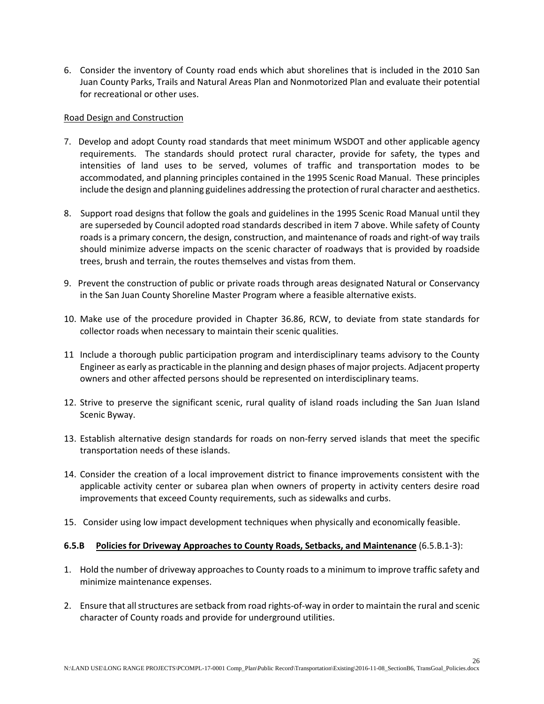6. Consider the inventory of County road ends which abut shorelines that is included in the 2010 San Juan County Parks, Trails and Natural Areas Plan and Nonmotorized Plan and evaluate their potential for recreational or other uses.

#### Road Design and Construction

- 7. Develop and adopt County road standards that meet minimum WSDOT and other applicable agency requirements. The standards should protect rural character, provide for safety, the types and intensities of land uses to be served, volumes of traffic and transportation modes to be accommodated, and planning principles contained in the 1995 Scenic Road Manual. These principles include the design and planning guidelines addressing the protection of rural character and aesthetics.
- 8. Support road designs that follow the goals and guidelines in the 1995 Scenic Road Manual until they are superseded by Council adopted road standards described in item 7 above. While safety of County roads is a primary concern, the design, construction, and maintenance of roads and right-of way trails should minimize adverse impacts on the scenic character of roadways that is provided by roadside trees, brush and terrain, the routes themselves and vistas from them.
- 9. Prevent the construction of public or private roads through areas designated Natural or Conservancy in the San Juan County Shoreline Master Program where a feasible alternative exists.
- 10. Make use of the procedure provided in Chapter 36.86, RCW, to deviate from state standards for collector roads when necessary to maintain their scenic qualities.
- 11 Include a thorough public participation program and interdisciplinary teams advisory to the County Engineer as early as practicable in the planning and design phases of major projects. Adjacent property owners and other affected persons should be represented on interdisciplinary teams.
- 12. Strive to preserve the significant scenic, rural quality of island roads including the San Juan Island Scenic Byway.
- 13. Establish alternative design standards for roads on non-ferry served islands that meet the specific transportation needs of these islands.
- 14. Consider the creation of a local improvement district to finance improvements consistent with the applicable activity center or subarea plan when owners of property in activity centers desire road improvements that exceed County requirements, such as sidewalks and curbs.
- 15. Consider using low impact development techniques when physically and economically feasible.

#### **6.5.B Policies for Driveway Approaches to County Roads, Setbacks, and Maintenance** (6.5.B.1-3):

- 1. Hold the number of driveway approaches to County roads to a minimum to improve traffic safety and minimize maintenance expenses.
- 2. Ensure that all structures are setback from road rights-of-way in order to maintain the rural and scenic character of County roads and provide for underground utilities.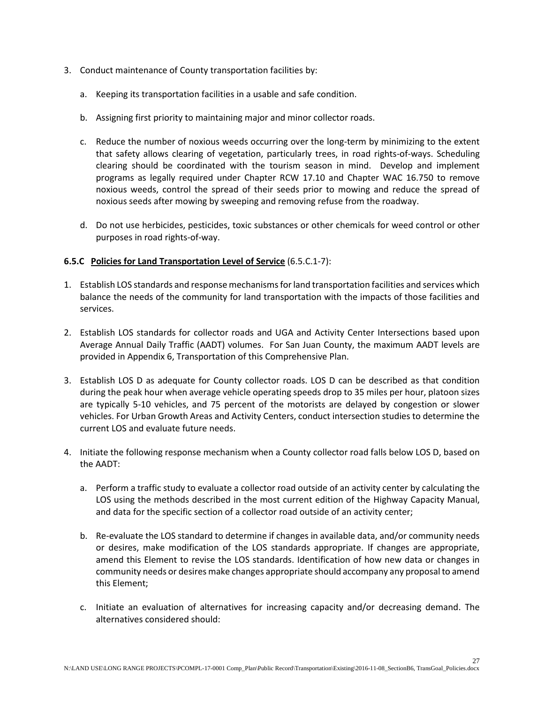- 3. Conduct maintenance of County transportation facilities by:
	- a. Keeping its transportation facilities in a usable and safe condition.
	- b. Assigning first priority to maintaining major and minor collector roads.
	- c. Reduce the number of noxious weeds occurring over the long-term by minimizing to the extent that safety allows clearing of vegetation, particularly trees, in road rights-of-ways. Scheduling clearing should be coordinated with the tourism season in mind. Develop and implement programs as legally required under Chapter RCW 17.10 and Chapter WAC 16.750 to remove noxious weeds, control the spread of their seeds prior to mowing and reduce the spread of noxious seeds after mowing by sweeping and removing refuse from the roadway.
	- d. Do not use herbicides, pesticides, toxic substances or other chemicals for weed control or other purposes in road rights-of-way.

#### **6.5.C Policies for Land Transportation Level of Service** (6.5.C.1-7):

- 1. Establish LOS standards and response mechanisms for land transportation facilities and services which balance the needs of the community for land transportation with the impacts of those facilities and services.
- 2. Establish LOS standards for collector roads and UGA and Activity Center Intersections based upon Average Annual Daily Traffic (AADT) volumes. For San Juan County, the maximum AADT levels are provided in Appendix 6, Transportation of this Comprehensive Plan.
- 3. Establish LOS D as adequate for County collector roads. LOS D can be described as that condition during the peak hour when average vehicle operating speeds drop to 35 miles per hour, platoon sizes are typically 5-10 vehicles, and 75 percent of the motorists are delayed by congestion or slower vehicles. For Urban Growth Areas and Activity Centers, conduct intersection studies to determine the current LOS and evaluate future needs.
- 4. Initiate the following response mechanism when a County collector road falls below LOS D, based on the AADT:
	- a. Perform a traffic study to evaluate a collector road outside of an activity center by calculating the LOS using the methods described in the most current edition of the Highway Capacity Manual, and data for the specific section of a collector road outside of an activity center;
	- b. Re-evaluate the LOS standard to determine if changes in available data, and/or community needs or desires, make modification of the LOS standards appropriate. If changes are appropriate, amend this Element to revise the LOS standards. Identification of how new data or changes in community needs or desires make changes appropriate should accompany any proposal to amend this Element;
	- c. Initiate an evaluation of alternatives for increasing capacity and/or decreasing demand. The alternatives considered should: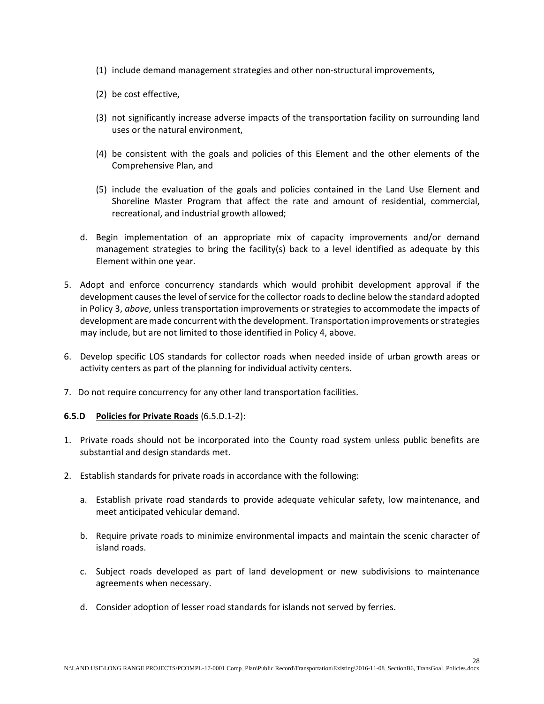- (1) include demand management strategies and other non-structural improvements,
- (2) be cost effective,
- (3) not significantly increase adverse impacts of the transportation facility on surrounding land uses or the natural environment,
- (4) be consistent with the goals and policies of this Element and the other elements of the Comprehensive Plan, and
- (5) include the evaluation of the goals and policies contained in the Land Use Element and Shoreline Master Program that affect the rate and amount of residential, commercial, recreational, and industrial growth allowed;
- d. Begin implementation of an appropriate mix of capacity improvements and/or demand management strategies to bring the facility(s) back to a level identified as adequate by this Element within one year.
- 5. Adopt and enforce concurrency standards which would prohibit development approval if the development causes the level of service for the collector roads to decline below the standard adopted in Policy 3, *above*, unless transportation improvements or strategies to accommodate the impacts of development are made concurrent with the development. Transportation improvements or strategies may include, but are not limited to those identified in Policy 4, above.
- 6. Develop specific LOS standards for collector roads when needed inside of urban growth areas or activity centers as part of the planning for individual activity centers.
- 7. Do not require concurrency for any other land transportation facilities.

# **6.5.D Policies for Private Roads** (6.5.D.1-2):

- 1. Private roads should not be incorporated into the County road system unless public benefits are substantial and design standards met.
- 2. Establish standards for private roads in accordance with the following:
	- a. Establish private road standards to provide adequate vehicular safety, low maintenance, and meet anticipated vehicular demand.
	- b. Require private roads to minimize environmental impacts and maintain the scenic character of island roads.
	- c. Subject roads developed as part of land development or new subdivisions to maintenance agreements when necessary.
	- d. Consider adoption of lesser road standards for islands not served by ferries.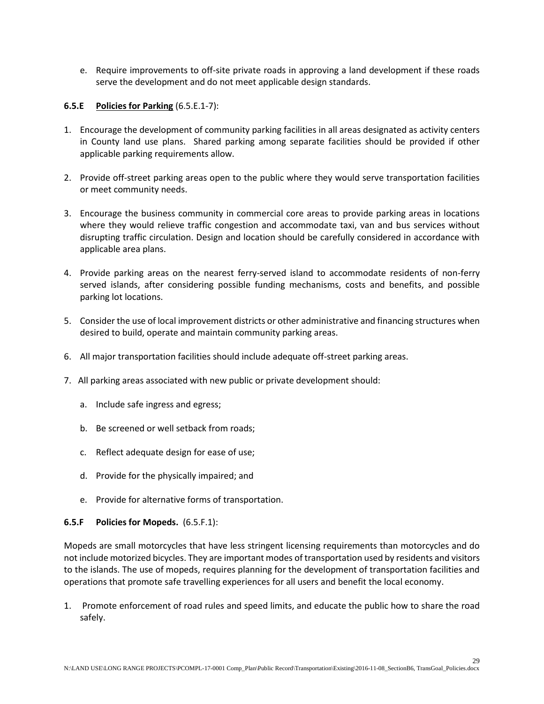e. Require improvements to off-site private roads in approving a land development if these roads serve the development and do not meet applicable design standards.

#### **6.5.E Policies for Parking** (6.5.E.1-7):

- 1. Encourage the development of community parking facilities in all areas designated as activity centers in County land use plans. Shared parking among separate facilities should be provided if other applicable parking requirements allow.
- 2. Provide off-street parking areas open to the public where they would serve transportation facilities or meet community needs.
- 3. Encourage the business community in commercial core areas to provide parking areas in locations where they would relieve traffic congestion and accommodate taxi, van and bus services without disrupting traffic circulation. Design and location should be carefully considered in accordance with applicable area plans.
- 4. Provide parking areas on the nearest ferry-served island to accommodate residents of non-ferry served islands, after considering possible funding mechanisms, costs and benefits, and possible parking lot locations.
- 5. Consider the use of local improvement districts or other administrative and financing structures when desired to build, operate and maintain community parking areas.
- 6. All major transportation facilities should include adequate off-street parking areas.
- 7. All parking areas associated with new public or private development should:
	- a. Include safe ingress and egress;
	- b. Be screened or well setback from roads;
	- c. Reflect adequate design for ease of use;
	- d. Provide for the physically impaired; and
	- e. Provide for alternative forms of transportation.

#### **6.5.F Policies for Mopeds.** (6.5.F.1):

Mopeds are small motorcycles that have less stringent licensing requirements than motorcycles and do not include motorized bicycles. They are important modes of transportation used by residents and visitors to the islands. The use of mopeds, requires planning for the development of transportation facilities and operations that promote safe travelling experiences for all users and benefit the local economy.

1. Promote enforcement of road rules and speed limits, and educate the public how to share the road safely.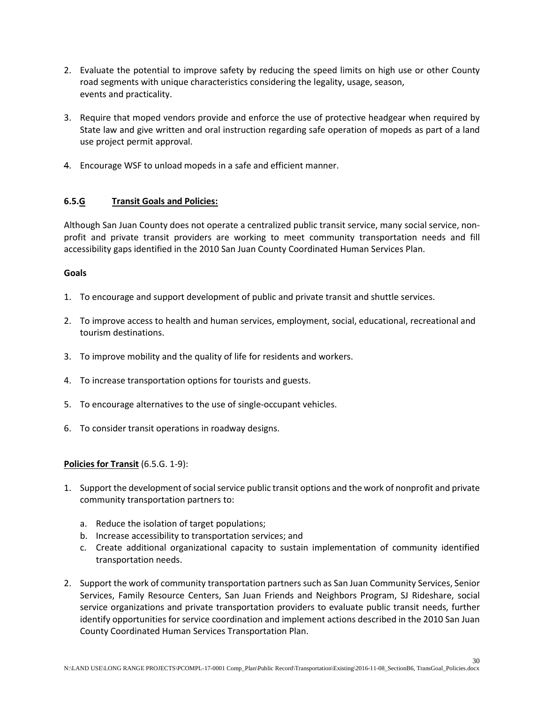- 2. Evaluate the potential to improve safety by reducing the speed limits on high use or other County road segments with unique characteristics considering the legality, usage, season, events and practicality.
- 3. Require that moped vendors provide and enforce the use of protective headgear when required by State law and give written and oral instruction regarding safe operation of mopeds as part of a land use project permit approval.
- 4. Encourage WSF to unload mopeds in a safe and efficient manner.

# **6.5.G Transit Goals and Policies:**

Although San Juan County does not operate a centralized public transit service, many social service, nonprofit and private transit providers are working to meet community transportation needs and fill accessibility gaps identified in the 2010 San Juan County Coordinated Human Services Plan.

# **Goals**

- 1. To encourage and support development of public and private transit and shuttle services.
- 2. To improve access to health and human services, employment, social, educational, recreational and tourism destinations.
- 3. To improve mobility and the quality of life for residents and workers.
- 4. To increase transportation options for tourists and guests.
- 5. To encourage alternatives to the use of single-occupant vehicles.
- 6. To consider transit operations in roadway designs.

# **Policies for Transit** (6.5.G. 1-9):

- 1. Support the development of social service public transit options and the work of nonprofit and private community transportation partners to:
	- a. Reduce the isolation of target populations;
	- b. Increase accessibility to transportation services; and
	- c. Create additional organizational capacity to sustain implementation of community identified transportation needs.
- 2. Support the work of community transportation partners such as San Juan Community Services, Senior Services, Family Resource Centers, San Juan Friends and Neighbors Program, SJ Rideshare, social service organizations and private transportation providers to evaluate public transit needs, further identify opportunities for service coordination and implement actions described in the 2010 San Juan County Coordinated Human Services Transportation Plan.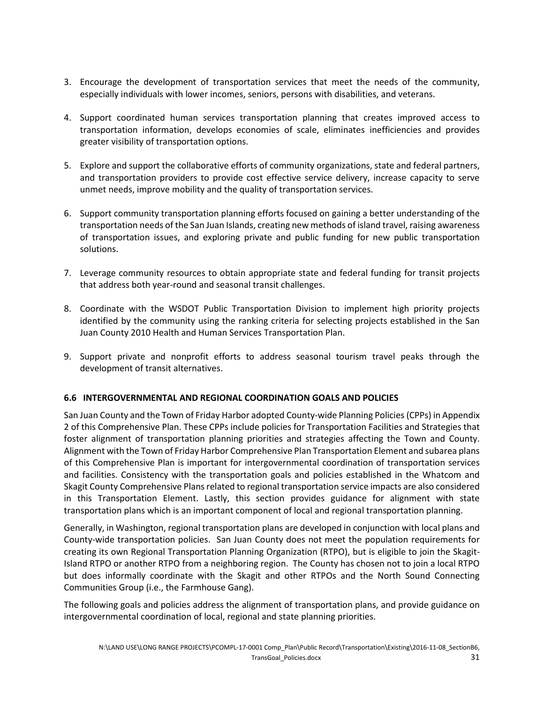- 3. Encourage the development of transportation services that meet the needs of the community, especially individuals with lower incomes, seniors, persons with disabilities, and veterans.
- 4. Support coordinated human services transportation planning that creates improved access to transportation information, develops economies of scale, eliminates inefficiencies and provides greater visibility of transportation options.
- 5. Explore and support the collaborative efforts of community organizations, state and federal partners, and transportation providers to provide cost effective service delivery, increase capacity to serve unmet needs, improve mobility and the quality of transportation services.
- 6. Support community transportation planning efforts focused on gaining a better understanding of the transportation needs of the San Juan Islands, creating new methods of island travel, raising awareness of transportation issues, and exploring private and public funding for new public transportation solutions.
- 7. Leverage community resources to obtain appropriate state and federal funding for transit projects that address both year-round and seasonal transit challenges.
- 8. Coordinate with the WSDOT Public Transportation Division to implement high priority projects identified by the community using the ranking criteria for selecting projects established in the San Juan County 2010 Health and Human Services Transportation Plan.
- 9. Support private and nonprofit efforts to address seasonal tourism travel peaks through the development of transit alternatives.

# **6.6 INTERGOVERNMENTAL AND REGIONAL COORDINATION GOALS AND POLICIES**

San Juan County and the Town of Friday Harbor adopted County-wide Planning Policies(CPPs) in Appendix 2 of this Comprehensive Plan. These CPPs include policies for Transportation Facilities and Strategies that foster alignment of transportation planning priorities and strategies affecting the Town and County. Alignment with the Town of Friday Harbor Comprehensive Plan Transportation Element and subarea plans of this Comprehensive Plan is important for intergovernmental coordination of transportation services and facilities. Consistency with the transportation goals and policies established in the Whatcom and Skagit County Comprehensive Plans related to regional transportation service impacts are also considered in this Transportation Element. Lastly, this section provides guidance for alignment with state transportation plans which is an important component of local and regional transportation planning.

Generally, in Washington, regional transportation plans are developed in conjunction with local plans and County-wide transportation policies. San Juan County does not meet the population requirements for creating its own Regional Transportation Planning Organization (RTPO), but is eligible to join the Skagit-Island RTPO or another RTPO from a neighboring region. The County has chosen not to join a local RTPO but does informally coordinate with the Skagit and other RTPOs and the North Sound Connecting Communities Group (i.e., the Farmhouse Gang).

The following goals and policies address the alignment of transportation plans, and provide guidance on intergovernmental coordination of local, regional and state planning priorities.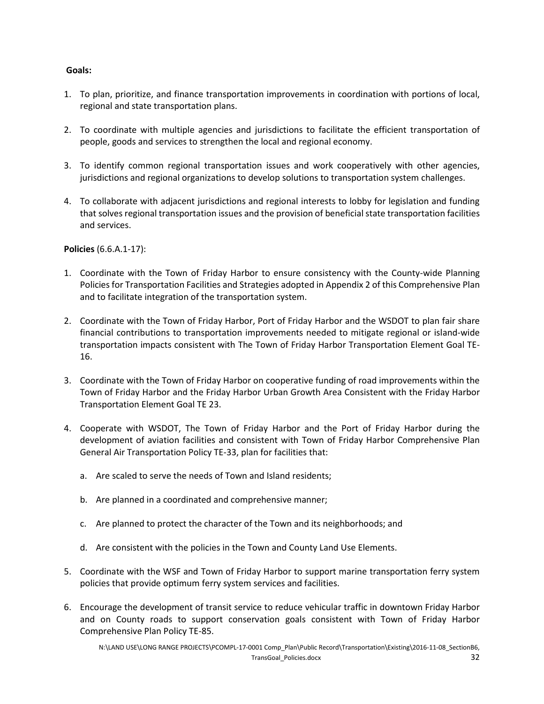# **Goals:**

- 1. To plan, prioritize, and finance transportation improvements in coordination with portions of local, regional and state transportation plans.
- 2. To coordinate with multiple agencies and jurisdictions to facilitate the efficient transportation of people, goods and services to strengthen the local and regional economy.
- 3. To identify common regional transportation issues and work cooperatively with other agencies, jurisdictions and regional organizations to develop solutions to transportation system challenges.
- 4. To collaborate with adjacent jurisdictions and regional interests to lobby for legislation and funding that solves regional transportation issues and the provision of beneficial state transportation facilities and services.

**Policies** (6.6.A.1-17):

- 1. Coordinate with the Town of Friday Harbor to ensure consistency with the County-wide Planning Policies for Transportation Facilities and Strategies adopted in Appendix 2 of this Comprehensive Plan and to facilitate integration of the transportation system.
- 2. Coordinate with the Town of Friday Harbor, Port of Friday Harbor and the WSDOT to plan fair share financial contributions to transportation improvements needed to mitigate regional or island-wide transportation impacts consistent with The Town of Friday Harbor Transportation Element Goal TE-16.
- 3. Coordinate with the Town of Friday Harbor on cooperative funding of road improvements within the Town of Friday Harbor and the Friday Harbor Urban Growth Area Consistent with the Friday Harbor Transportation Element Goal TE 23.
- 4. Cooperate with WSDOT, The Town of Friday Harbor and the Port of Friday Harbor during the development of aviation facilities and consistent with Town of Friday Harbor Comprehensive Plan General Air Transportation Policy TE-33, plan for facilities that:
	- a. Are scaled to serve the needs of Town and Island residents;
	- b. Are planned in a coordinated and comprehensive manner;
	- c. Are planned to protect the character of the Town and its neighborhoods; and
	- d. Are consistent with the policies in the Town and County Land Use Elements.
- 5. Coordinate with the WSF and Town of Friday Harbor to support marine transportation ferry system policies that provide optimum ferry system services and facilities.
- 6. Encourage the development of transit service to reduce vehicular traffic in downtown Friday Harbor and on County roads to support conservation goals consistent with Town of Friday Harbor Comprehensive Plan Policy TE-85.